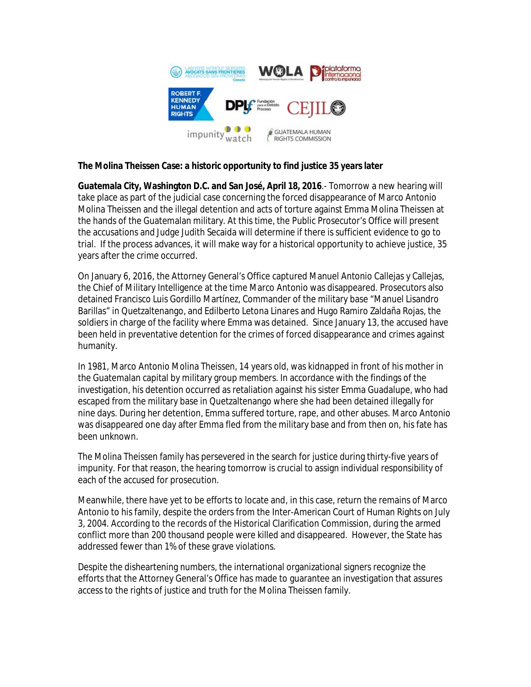

## **The Molina Theissen Case: a historic opportunity to find justice 35 years later**

**Guatemala City, Washington D.C. and San José, April 18, 2016**.- Tomorrow a new hearing will take place as part of the judicial case concerning the forced disappearance of Marco Antonio Molina Theissen and the illegal detention and acts of torture against Emma Molina Theissen at the hands of the Guatemalan military. At this time, the Public Prosecutor's Office will present the accusations and Judge Judith Secaida will determine if there is sufficient evidence to go to trial. If the process advances, it will make way for a historical opportunity to achieve justice, 35 years after the crime occurred.

On January 6, 2016, the Attorney General's Office captured Manuel Antonio Callejas y Callejas, the Chief of Military Intelligence at the time Marco Antonio was disappeared. Prosecutors also detained Francisco Luis Gordillo Martínez, Commander of the military base "Manuel Lisandro Barillas" in Quetzaltenango, and Edilberto Letona Linares and Hugo Ramiro Zaldaña Rojas, the soldiers in charge of the facility where Emma was detained. Since January 13, the accused have been held in preventative detention for the crimes of forced disappearance and crimes against humanity.

In 1981, Marco Antonio Molina Theissen, 14 years old, was kidnapped in front of his mother in the Guatemalan capital by military group members. In accordance with the findings of the investigation, his detention occurred as retaliation against his sister Emma Guadalupe, who had escaped from the military base in Quetzaltenango where she had been detained illegally for nine days. During her detention, Emma suffered torture, rape, and other abuses. Marco Antonio was disappeared one day after Emma fled from the military base and from then on, his fate has been unknown.

The Molina Theissen family has persevered in the search for justice during thirty-five years of impunity. For that reason, the hearing tomorrow is crucial to assign individual responsibility of each of the accused for prosecution.

Meanwhile, there have yet to be efforts to locate and, in this case, return the remains of Marco Antonio to his family, despite the orders from the Inter-American Court of Human Rights on July 3, 2004. According to the records of the Historical Clarification Commission, during the armed conflict more than 200 thousand people were killed and disappeared. However, the State has addressed fewer than 1% of these grave violations.

Despite the disheartening numbers, the international organizational signers recognize the efforts that the Attorney General's Office has made to guarantee an investigation that assures access to the rights of justice and truth for the Molina Theissen family.